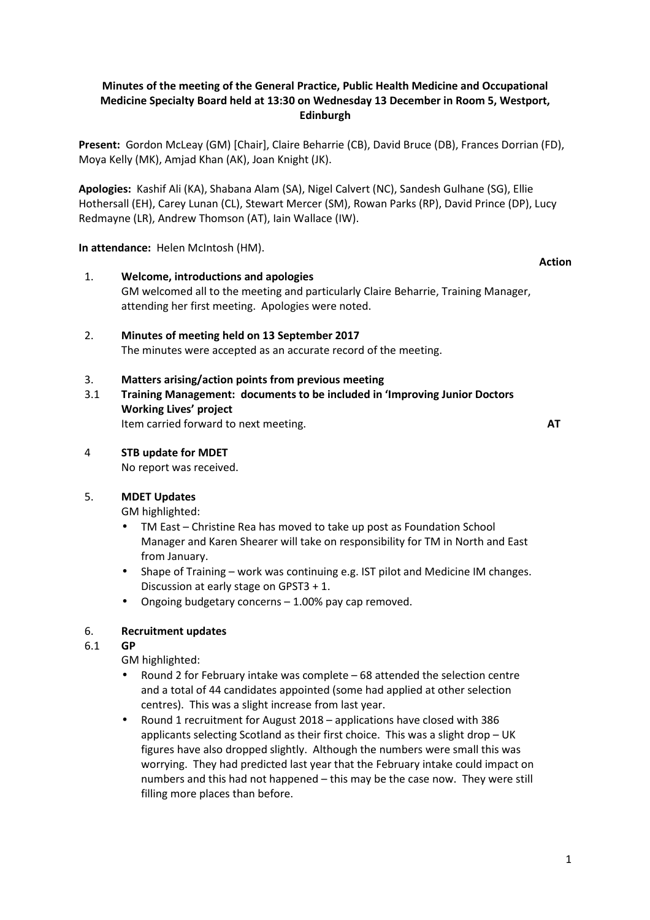# **Minutes of the meeting of the General Practice, Public Health Medicine and Occupational Medicine Specialty Board held at 13:30 on Wednesday 13 December in Room 5, Westport, Edinburgh**

**Present:** Gordon McLeay (GM) [Chair], Claire Beharrie (CB), David Bruce (DB), Frances Dorrian (FD), Moya Kelly (MK), Amjad Khan (AK), Joan Knight (JK).

**Apologies:** Kashif Ali (KA), Shabana Alam (SA), Nigel Calvert (NC), Sandesh Gulhane (SG), Ellie Hothersall (EH), Carey Lunan (CL), Stewart Mercer (SM), Rowan Parks (RP), David Prince (DP), Lucy Redmayne (LR), Andrew Thomson (AT), Iain Wallace (IW).

**In attendance:** Helen McIntosh (HM).

- 1. **Welcome, introductions and apologies** GM welcomed all to the meeting and particularly Claire Beharrie, Training Manager, attending her first meeting. Apologies were noted.
- 2. **Minutes of meeting held on 13 September 2017** The minutes were accepted as an accurate record of the meeting.

# 3. **Matters arising/action points from previous meeting**

3.1 **Training Management: documents to be included in 'Improving Junior Doctors Working Lives' project**  Item carried forward to next meeting. **AT**

**Action** 

4 **STB update for MDET**

No report was received.

# 5. **MDET Updates**

GM highlighted:

- TM East Christine Rea has moved to take up post as Foundation School Manager and Karen Shearer will take on responsibility for TM in North and East from January.
- Shape of Training work was continuing e.g. IST pilot and Medicine IM changes. Discussion at early stage on GPST3 + 1.
- Ongoing budgetary concerns 1.00% pay cap removed.

# 6. **Recruitment updates**

# 6.1 **GP**

GM highlighted:

- Round 2 for February intake was complete 68 attended the selection centre and a total of 44 candidates appointed (some had applied at other selection centres). This was a slight increase from last year.
- Round 1 recruitment for August 2018 applications have closed with 386 applicants selecting Scotland as their first choice. This was a slight drop – UK figures have also dropped slightly. Although the numbers were small this was worrying. They had predicted last year that the February intake could impact on numbers and this had not happened – this may be the case now. They were still filling more places than before.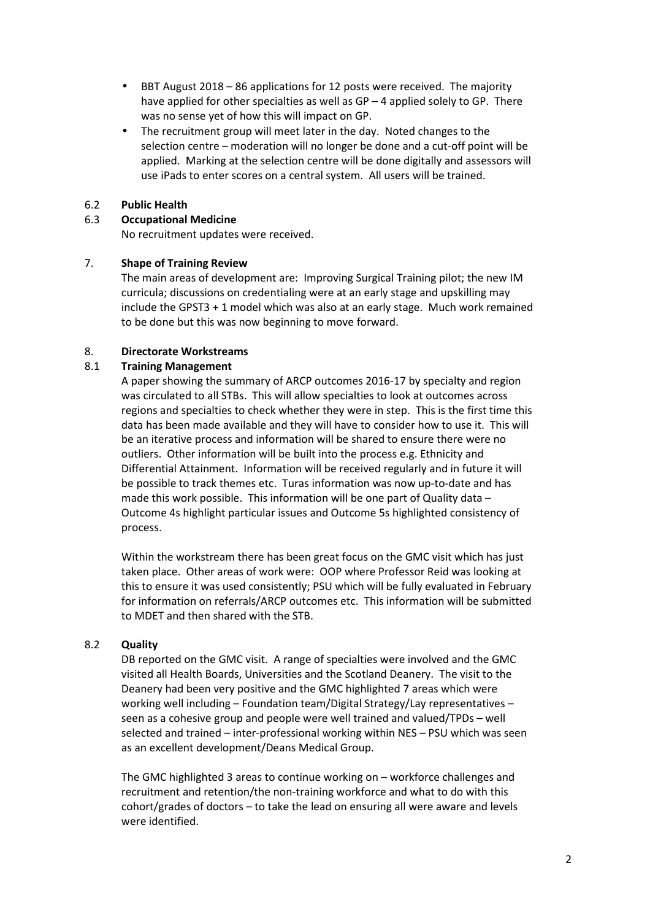- BBT August 2018 86 applications for 12 posts were received. The majority have applied for other specialties as well as GP - 4 applied solely to GP. There was no sense yet of how this will impact on GP.
- The recruitment group will meet later in the day. Noted changes to the selection centre – moderation will no longer be done and a cut-off point will be applied. Marking at the selection centre will be done digitally and assessors will use iPads to enter scores on a central system. All users will be trained.

### 6.2 **Public Health**

## 6.3 **Occupational Medicine**

No recruitment updates were received.

## 7. **Shape of Training Review**

The main areas of development are: Improving Surgical Training pilot; the new IM curricula; discussions on credentialing were at an early stage and upskilling may include the GPST3 + 1 model which was also at an early stage. Much work remained to be done but this was now beginning to move forward.

# 8. **Directorate Workstreams**

## 8.1 **Training Management**

A paper showing the summary of ARCP outcomes 2016-17 by specialty and region was circulated to all STBs. This will allow specialties to look at outcomes across regions and specialties to check whether they were in step. This is the first time this data has been made available and they will have to consider how to use it. This will be an iterative process and information will be shared to ensure there were no outliers. Other information will be built into the process e.g. Ethnicity and Differential Attainment. Information will be received regularly and in future it will be possible to track themes etc. Turas information was now up-to-date and has made this work possible. This information will be one part of Quality data – Outcome 4s highlight particular issues and Outcome 5s highlighted consistency of process.

Within the workstream there has been great focus on the GMC visit which has just taken place. Other areas of work were: OOP where Professor Reid was looking at this to ensure it was used consistently; PSU which will be fully evaluated in February for information on referrals/ARCP outcomes etc. This information will be submitted to MDET and then shared with the STB.

### 8.2 **Quality**

DB reported on the GMC visit. A range of specialties were involved and the GMC visited all Health Boards, Universities and the Scotland Deanery. The visit to the Deanery had been very positive and the GMC highlighted 7 areas which were working well including – Foundation team/Digital Strategy/Lay representatives – seen as a cohesive group and people were well trained and valued/TPDs – well selected and trained – inter-professional working within NES – PSU which was seen as an excellent development/Deans Medical Group.

The GMC highlighted 3 areas to continue working on – workforce challenges and recruitment and retention/the non-training workforce and what to do with this cohort/grades of doctors – to take the lead on ensuring all were aware and levels were identified.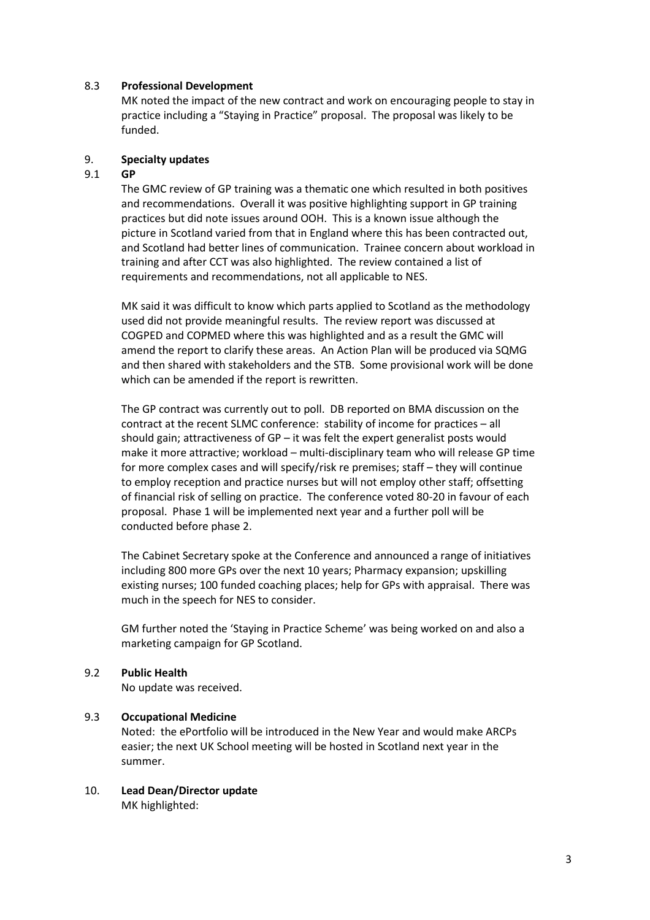### 8.3 **Professional Development**

MK noted the impact of the new contract and work on encouraging people to stay in practice including a "Staying in Practice" proposal. The proposal was likely to be funded.

#### 9. **Specialty updates**

#### 9.1 **GP**

The GMC review of GP training was a thematic one which resulted in both positives and recommendations. Overall it was positive highlighting support in GP training practices but did note issues around OOH. This is a known issue although the picture in Scotland varied from that in England where this has been contracted out, and Scotland had better lines of communication. Trainee concern about workload in training and after CCT was also highlighted. The review contained a list of requirements and recommendations, not all applicable to NES.

MK said it was difficult to know which parts applied to Scotland as the methodology used did not provide meaningful results. The review report was discussed at COGPED and COPMED where this was highlighted and as a result the GMC will amend the report to clarify these areas. An Action Plan will be produced via SQMG and then shared with stakeholders and the STB. Some provisional work will be done which can be amended if the report is rewritten.

The GP contract was currently out to poll. DB reported on BMA discussion on the contract at the recent SLMC conference: stability of income for practices – all should gain; attractiveness of GP – it was felt the expert generalist posts would make it more attractive; workload – multi-disciplinary team who will release GP time for more complex cases and will specify/risk re premises; staff – they will continue to employ reception and practice nurses but will not employ other staff; offsetting of financial risk of selling on practice. The conference voted 80-20 in favour of each proposal. Phase 1 will be implemented next year and a further poll will be conducted before phase 2.

The Cabinet Secretary spoke at the Conference and announced a range of initiatives including 800 more GPs over the next 10 years; Pharmacy expansion; upskilling existing nurses; 100 funded coaching places; help for GPs with appraisal. There was much in the speech for NES to consider.

GM further noted the 'Staying in Practice Scheme' was being worked on and also a marketing campaign for GP Scotland.

#### 9.2 **Public Health**

No update was received.

#### 9.3 **Occupational Medicine**

Noted: the ePortfolio will be introduced in the New Year and would make ARCPs easier; the next UK School meeting will be hosted in Scotland next year in the summer.

10. **Lead Dean/Director update** MK highlighted: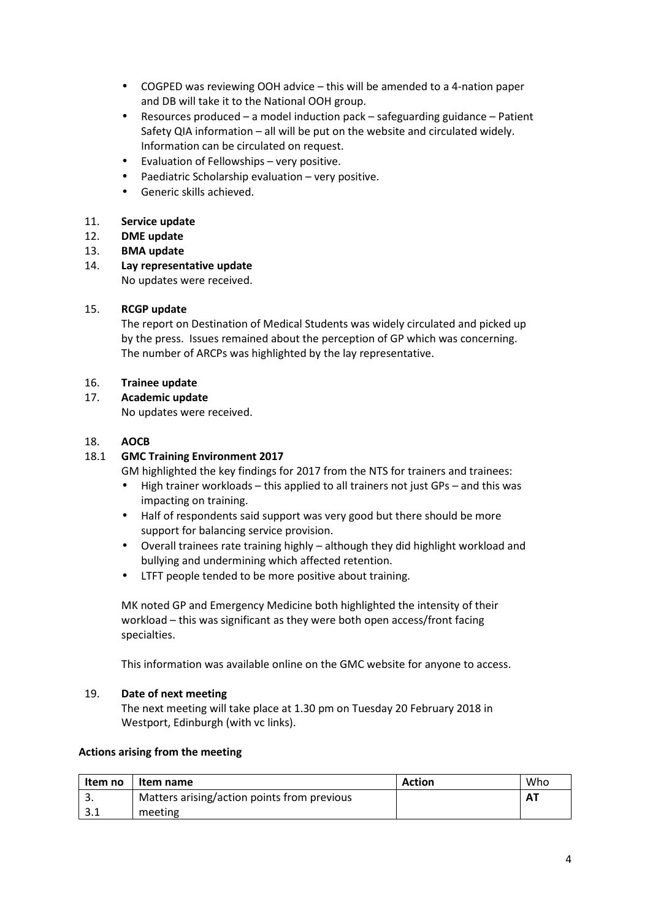- COGPED was reviewing OOH advice this will be amended to a 4-nation paper and DB will take it to the National OOH group.
- Resources produced a model induction pack safeguarding guidance Patient Safety QIA information – all will be put on the website and circulated widely. Information can be circulated on request.
- Evaluation of Fellowships very positive.
- Paediatric Scholarship evaluation very positive.
- Generic skills achieved.

## 11. **Service update**

- 12. **DME update**
- 13. **BMA update**
- 14. **Lay representative update**

No updates were received.

## 15. **RCGP update**

The report on Destination of Medical Students was widely circulated and picked up by the press. Issues remained about the perception of GP which was concerning. The number of ARCPs was highlighted by the lay representative.

## 16. **Trainee update**

## 17. **Academic update**

No updates were received.

## 18. **AOCB**

## 18.1 **GMC Training Environment 2017**

GM highlighted the key findings for 2017 from the NTS for trainers and trainees:

- High trainer workloads this applied to all trainers not just GPs and this was impacting on training.
- Half of respondents said support was very good but there should be more support for balancing service provision.
- Overall trainees rate training highly although they did highlight workload and bullying and undermining which affected retention.
- LTFT people tended to be more positive about training.

MK noted GP and Emergency Medicine both highlighted the intensity of their workload – this was significant as they were both open access/front facing specialties.

This information was available online on the GMC website for anyone to access.

### 19. **Date of next meeting**

The next meeting will take place at 1.30 pm on Tuesday 20 February 2018 in Westport, Edinburgh (with vc links).

### **Actions arising from the meeting**

| Item no | Item name                                   | Action | Who       |
|---------|---------------------------------------------|--------|-----------|
| . ب     | Matters arising/action points from previous |        | <b>AT</b> |
| ے .     | meeting                                     |        |           |